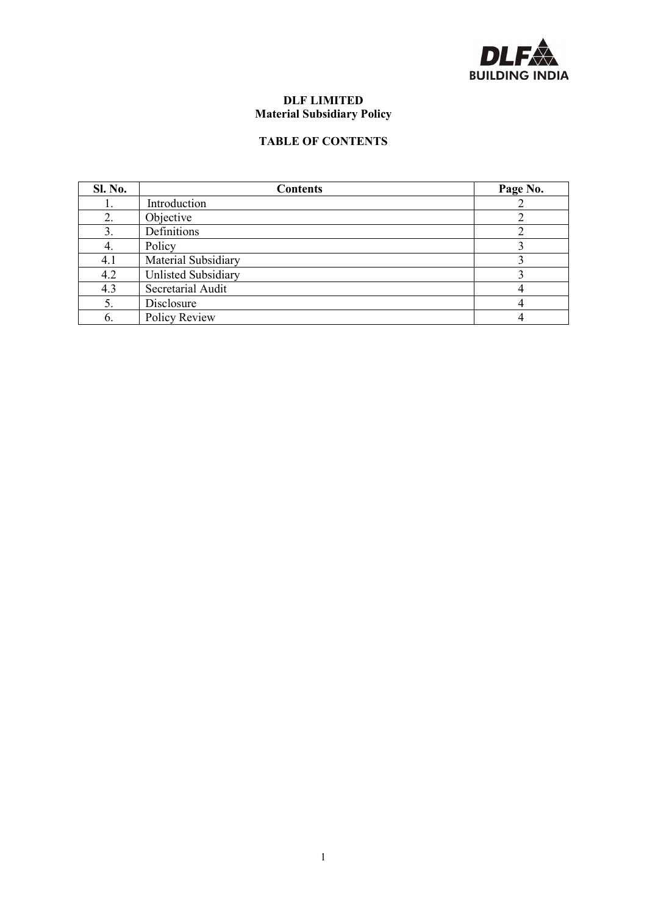

# **DLF LIMITED Material Subsidiary Policy**

# **TABLE OF CONTENTS**

| Sl. No. | <b>Contents</b>            | Page No. |
|---------|----------------------------|----------|
|         | Introduction               |          |
| 2.      | Objective                  |          |
| 3.      | Definitions                |          |
| 4.      | Policy                     |          |
| 4.1     | Material Subsidiary        |          |
| 4.2     | <b>Unlisted Subsidiary</b> |          |
| 4.3     | Secretarial Audit          |          |
| 5.      | Disclosure                 |          |
| 6.      | Policy Review              |          |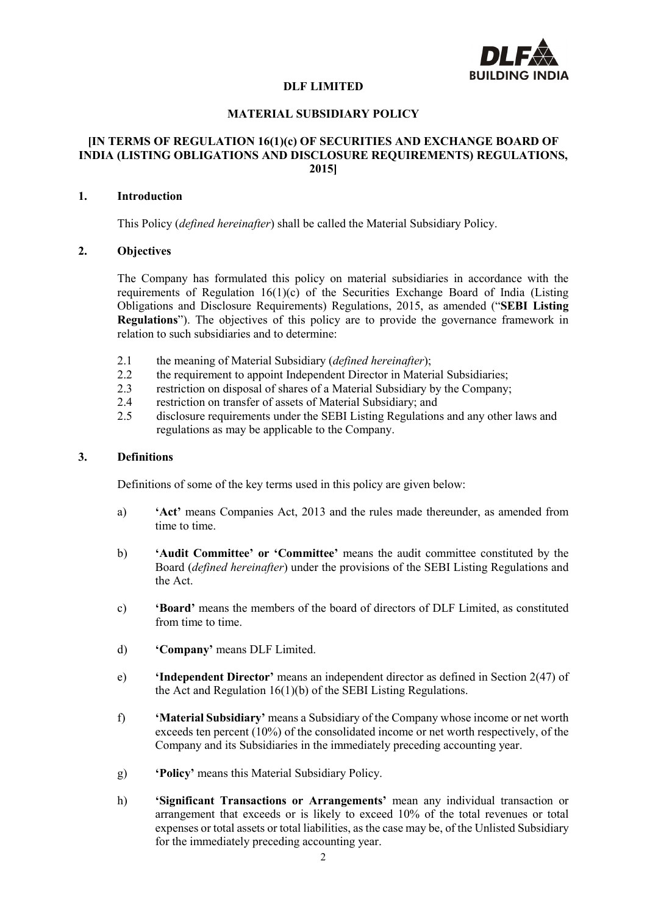

#### **DLF LIMITED**

#### **MATERIAL SUBSIDIARY POLICY**

#### **[IN TERMS OF REGULATION 16(1)(c) OF SECURITIES AND EXCHANGE BOARD OF INDIA (LISTING OBLIGATIONS AND DISCLOSURE REQUIREMENTS) REGULATIONS, 2015]**

# **1. Introduction**

This Policy (*defined hereinafter*) shall be called the Material Subsidiary Policy.

# **2. Objectives**

The Company has formulated this policy on material subsidiaries in accordance with the requirements of Regulation  $16(1)(c)$  of the Securities Exchange Board of India (Listing Obligations and Disclosure Requirements) Regulations, 2015, as amended ("**SEBI Listing Regulations**"). The objectives of this policy are to provide the governance framework in relation to such subsidiaries and to determine:

- 2.1 the meaning of Material Subsidiary (*defined hereinafter*);
- 2.2 the requirement to appoint Independent Director in Material Subsidiaries:
- 2.3 restriction on disposal of shares of a Material Subsidiary by the Company;
- 2.4 restriction on transfer of assets of Material Subsidiary; and
- 2.5 disclosure requirements under the SEBI Listing Regulations and any other laws and regulations as may be applicable to the Company.

#### **3. Definitions**

Definitions of some of the key terms used in this policy are given below:

- a) **'Act'** means Companies Act, 2013 and the rules made thereunder, as amended from time to time.
- b) **'Audit Committee' or 'Committee'** means the audit committee constituted by the Board (*defined hereinafter*) under the provisions of the SEBI Listing Regulations and the Act.
- c) **'Board'** means the members of the board of directors of DLF Limited, as constituted from time to time.
- d) **'Company'** means DLF Limited.
- e) **'Independent Director'** means an independent director as defined in Section 2(47) of the Act and Regulation 16(1)(b) of the SEBI Listing Regulations.
- f) **'Material Subsidiary'** means a Subsidiary of the Company whose income or net worth exceeds ten percent (10%) of the consolidated income or net worth respectively, of the Company and its Subsidiaries in the immediately preceding accounting year.
- g) **'Policy'** means this Material Subsidiary Policy.
- h) **'Significant Transactions or Arrangements'** mean any individual transaction or arrangement that exceeds or is likely to exceed 10% of the total revenues or total expenses or total assets or total liabilities, as the case may be, of the Unlisted Subsidiary for the immediately preceding accounting year.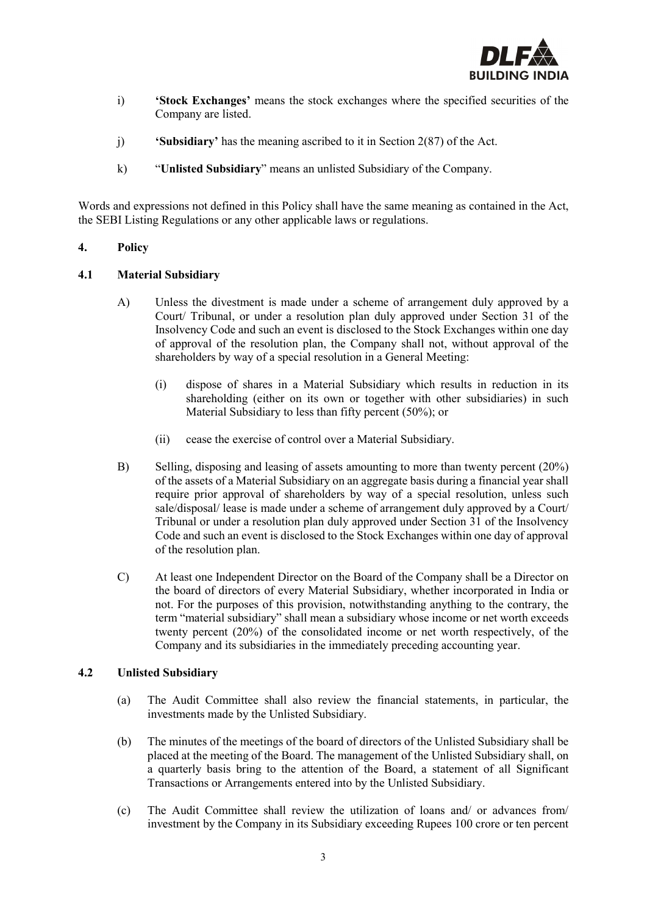

- i) **'Stock Exchanges'** means the stock exchanges where the specified securities of the Company are listed.
- j) **'Subsidiary'** has the meaning ascribed to it in Section 2(87) of the Act.
- k) "**Unlisted Subsidiary**" means an unlisted Subsidiary of the Company.

Words and expressions not defined in this Policy shall have the same meaning as contained in the Act, the SEBI Listing Regulations or any other applicable laws or regulations.

# **4. Policy**

# **4.1 Material Subsidiary**

- A) Unless the divestment is made under a scheme of arrangement duly approved by a Court/ Tribunal, or under a resolution plan duly approved under Section 31 of the Insolvency Code and such an event is disclosed to the Stock Exchanges within one day of approval of the resolution plan, the Company shall not, without approval of the shareholders by way of a special resolution in a General Meeting:
	- (i) dispose of shares in a Material Subsidiary which results in reduction in its shareholding (either on its own or together with other subsidiaries) in such Material Subsidiary to less than fifty percent (50%); or
	- (ii) cease the exercise of control over a Material Subsidiary.
- B) Selling, disposing and leasing of assets amounting to more than twenty percent (20%) of the assets of a Material Subsidiary on an aggregate basis during a financial year shall require prior approval of shareholders by way of a special resolution, unless such sale/disposal/ lease is made under a scheme of arrangement duly approved by a Court/ Tribunal or under a resolution plan duly approved under Section 31 of the Insolvency Code and such an event is disclosed to the Stock Exchanges within one day of approval of the resolution plan.
- C) At least one Independent Director on the Board of the Company shall be a Director on the board of directors of every Material Subsidiary, whether incorporated in India or not. For the purposes of this provision, notwithstanding anything to the contrary, the term "material subsidiary" shall mean a subsidiary whose income or net worth exceeds twenty percent (20%) of the consolidated income or net worth respectively, of the Company and its subsidiaries in the immediately preceding accounting year.

# **4.2 Unlisted Subsidiary**

- (a) The Audit Committee shall also review the financial statements, in particular, the investments made by the Unlisted Subsidiary.
- (b) The minutes of the meetings of the board of directors of the Unlisted Subsidiary shall be placed at the meeting of the Board. The management of the Unlisted Subsidiary shall, on a quarterly basis bring to the attention of the Board, a statement of all Significant Transactions or Arrangements entered into by the Unlisted Subsidiary.
- (c) The Audit Committee shall review the utilization of loans and/ or advances from/ investment by the Company in its Subsidiary exceeding Rupees 100 crore or ten percent